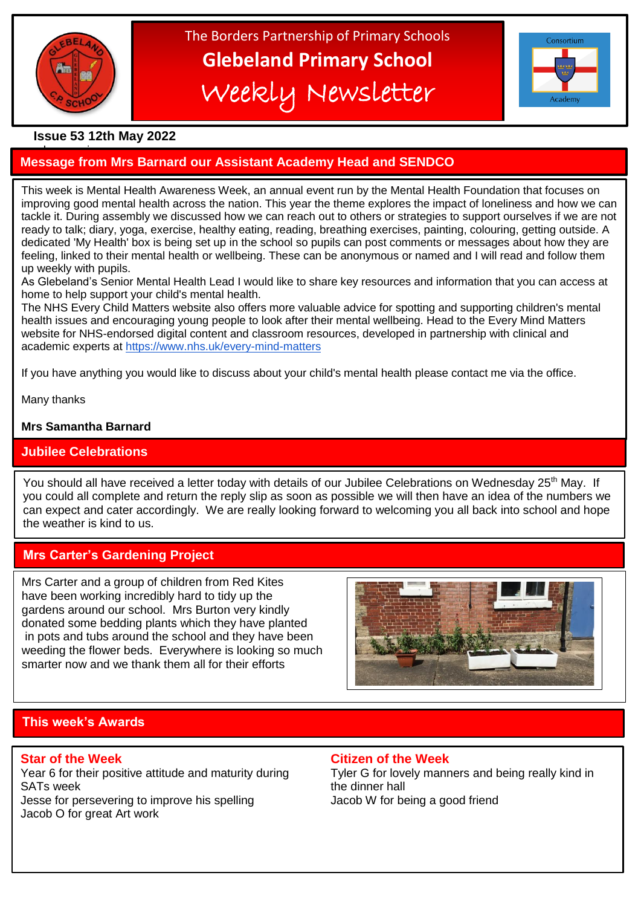

# The Borders Partnership of Primary Schools **Glebeland Primary School** Weekly Newsletter



# **Issue 53 12th May 2022**

### a bumper issues in the second second in the second second second in the second second second in the second second second second second second second second second second second second second second second second second sec **Message from Mrs Barnard our Assistant Academy Head and SENDCO**

This week is Mental Health Awareness Week, an annual event run by the Mental Health Foundation that focuses on improving good mental health across the nation. This year the theme explores the impact of loneliness and how we can tackle it. During assembly we discussed how we can reach out to others or strategies to support ourselves if we are not ready to talk; diary, yoga, exercise, healthy eating, reading, breathing exercises, painting, colouring, getting outside. A dedicated 'My Health' box is being set up in the school so pupils can post comments or messages about how they are feeling, linked to their mental health or wellbeing. These can be anonymous or named and I will read and follow them up weekly with pupils.

As Glebeland's Senior Mental Health Lead I would like to share key resources and information that you can access at home to help support your child's mental health.

The NHS Every Child Matters website also offers more valuable advice for spotting and supporting children's mental health issues and encouraging young people to look after their mental wellbeing. Head to the Every Mind Matters website for NHS-endorsed digital content and classroom resources, developed in partnership with clinical and academic experts at <https://www.nhs.uk/every-mind-matters>

If you have anything you would like to discuss about your child's mental health please contact me via the office.

Many thanks

### **Mrs Samantha Barnard**

### **Assistant Academy Head Jubilee Celebrations**

ī You should all have received a letter today with details of our Jubilee Celebrations on Wednesday 25<sup>th</sup> May. If you could all complete and return the reply slip as soon as possible we will then have an idea of the numbers we can expect and cater accordingly. We are really looking forward to welcoming you all back into school and hope the weather is kind to us.

### **Mrs Carter's Gardening Project**

Mrs Carter and a group of children from Red Kites have been working incredibly hard to tidy up the gardens around our school. Mrs Burton very kindly donated some bedding plants which they have planted in pots and tubs around the school and they have been weeding the flower beds. Everywhere is looking so much smarter now and we thank them all for their efforts



# **This week's Awards**

Year 6 for their positive attitude and maturity during Tyler G for lovely manners and being really kind in SATs week the dinner hall and the dinner hall

Jacob O for great Art work

### **Star of the Week Citizen of the Week**

Jesse for persevering to improve his spelling Jacob W for being a good friend